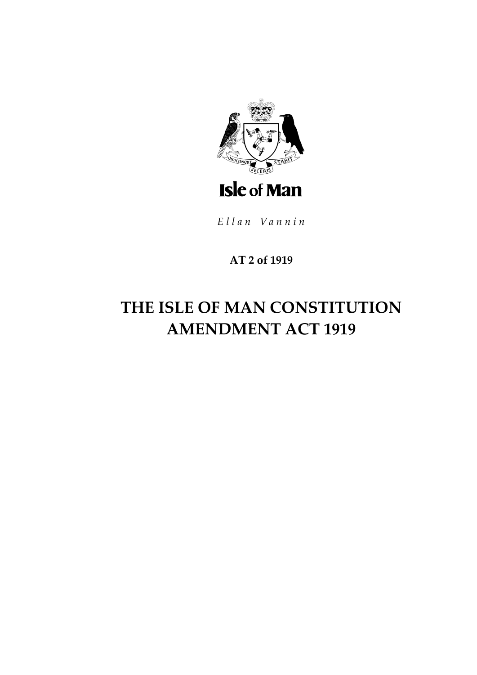

Ellan Vannin

### AT 2 of 1919

# THE ISLE OF MAN CONSTITUTION **AMENDMENT ACT 1919**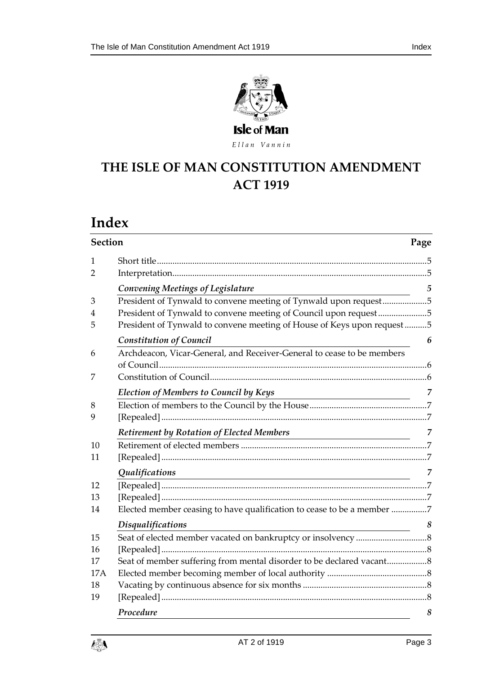

Ellan Vannin

# **THE ISLE OF MAN CONS TITUTION AMENDMENT ACT 1919**

# **Index**

| <b>Section</b><br>Page |                                                                                                                                        |                 |
|------------------------|----------------------------------------------------------------------------------------------------------------------------------------|-----------------|
| 1                      |                                                                                                                                        |                 |
| 2                      |                                                                                                                                        |                 |
|                        | <b>Convening Meetings of Legislature</b>                                                                                               | $5\overline{)}$ |
| 3                      | President of Tynwald to convene meeting of Tynwald upon request5                                                                       |                 |
| 4                      | President of Tynwald to convene meeting of Council upon request5                                                                       |                 |
| 5                      | President of Tynwald to convene meeting of House of Keys upon request5                                                                 |                 |
|                        | <b>Constitution of Council</b>                                                                                                         | 6               |
| 6                      | Archdeacon, Vicar-General, and Receiver-General to cease to be members                                                                 |                 |
|                        |                                                                                                                                        |                 |
| 7                      |                                                                                                                                        |                 |
|                        | <b>Election of Members to Council by Keys</b>                                                                                          | 7               |
| 8                      |                                                                                                                                        |                 |
| 9                      |                                                                                                                                        |                 |
|                        | Retirement by Rotation of Elected Members                                                                                              | $\overline{7}$  |
| 10                     |                                                                                                                                        |                 |
| 11                     |                                                                                                                                        |                 |
|                        | Qualifications<br><u> 1989 - Johann Stein, marwolaethau a bhann an t-Amhainn an t-Amhainn an t-Amhainn an t-Amhainn an t-Amhainn a</u> | 7               |
| 12                     |                                                                                                                                        |                 |
| 13                     |                                                                                                                                        |                 |
| 14                     | Elected member ceasing to have qualification to cease to be a member 7                                                                 |                 |
|                        | <b>Disqualifications</b>                                                                                                               | 8               |
| 15                     |                                                                                                                                        |                 |
| 16                     |                                                                                                                                        |                 |
| 17                     | Seat of member suffering from mental disorder to be declared vacant                                                                    |                 |
| <b>17A</b>             |                                                                                                                                        |                 |
| 18                     |                                                                                                                                        |                 |
| 19                     |                                                                                                                                        |                 |
|                        | Procedure                                                                                                                              | 8               |

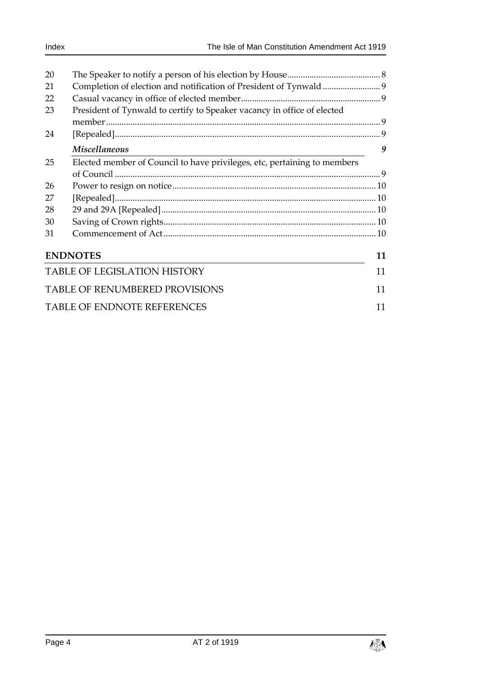| 20 |                                                                          |    |
|----|--------------------------------------------------------------------------|----|
| 21 |                                                                          |    |
| 22 |                                                                          |    |
| 23 | President of Tynwald to certify to Speaker vacancy in office of elected  |    |
|    |                                                                          |    |
| 24 |                                                                          |    |
|    | <b>Miscellaneous</b>                                                     | 9  |
| 25 | Elected member of Council to have privileges, etc, pertaining to members |    |
|    |                                                                          |    |
| 26 |                                                                          |    |
| 27 |                                                                          |    |
| 28 |                                                                          |    |
| 30 |                                                                          |    |
| 31 |                                                                          |    |
|    | <b>ENDNOTES</b>                                                          | 11 |
|    | <b>TABLE OF LEGISLATION HISTORY</b>                                      | 11 |
|    | <b>TABLE OF RENUMBERED PROVISIONS</b>                                    | 11 |
|    | <b>TABLE OF ENDNOTE REFERENCES</b>                                       | 11 |

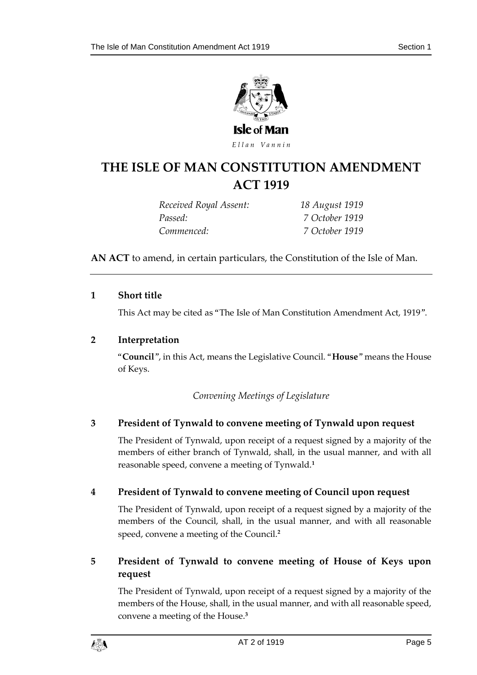

Ellan Vannin

### **THE ISLE OF MAN CONS TITUTION AMENDMENT ACT 1919**

*Received Royal Assent: 18 August 1919 Passed: 7 October 1919 Commenced: 7 October 1919*

**AN ACT** to amend, in certain particulars, the Constitution of the Isle of Man.

#### <span id="page-4-0"></span>**1 Short title**

This Act may be cited as "The Isle of Man Constitution Amendment Act, 1919".

#### <span id="page-4-1"></span>**2 Interpretation**

<span id="page-4-2"></span>"**Council**", in this Act, means the Legislative Council. "**House**" means the House of Keys.

*Convening Meetings of Legislature*

#### <span id="page-4-3"></span>**3 President of Tynwald to convene meeting of Tynwald upon request**

The President of Tynwald, upon receipt of a request signed by a majority of the members of either branch of Tynwald, shall, in the usual manner, and with all reasonable speed, convene a meeting of Tynwald.**<sup>1</sup>**

#### <span id="page-4-4"></span>**4 President of Tynwald to convene meeting of Council upon request**

The President of Tynwald, upon receipt of a request signed by a majority of the members of the Council, shall, in the usual manner, and with all reasonable speed, convene a meeting of the Council.**<sup>2</sup>**

#### <span id="page-4-5"></span>**5 President of Tynwald to convene meeting of House of Keys upon request**

The President of Tynwald, upon receipt of a request signed by a majority of the members of the House, shall, in the usual manner, and with all reasonable speed, convene a meeting of the House.**3**

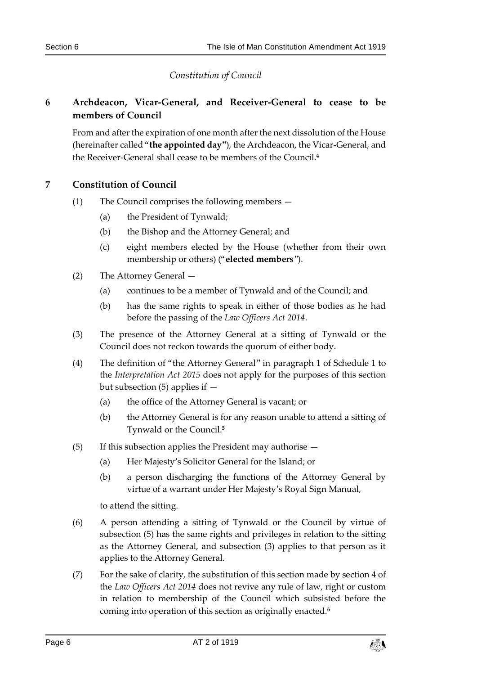*Constitution of Council*

#### <span id="page-5-1"></span><span id="page-5-0"></span>**6 Archdeacon, Vicar-General, and Receiver-General to cease to be members of Council**

From and after the expiration of one month after the next dissolution of the House (hereinafter called "**the appointed day"**), the Archdeacon, the Vicar-General, and the Receiver-General shall cease to be members of the Council.**<sup>4</sup>**

#### <span id="page-5-2"></span>**7 Constitution of Council**

- (1) The Council comprises the following members
	- (a) the President of Tynwald;
	- (b) the Bishop and the Attorney General; and
	- (c) eight members elected by the House (whether from their own membership or others) ("**elected members**").
- (2) The Attorney General
	- (a) continues to be a member of Tynwald and of the Council; and
	- (b) has the same rights to speak in either of those bodies as he had before the passing of the *Law Officers Act 2014*.
- (3) The presence of the Attorney General at a sitting of Tynwald or the Council does not reckon towards the quorum of either body.
- (4) The definition of "the Attorney General" in paragraph 1 of Schedule 1 to the *Interpretation Act 2015* does not apply for the purposes of this section but subsection (5) applies if —
	- (a) the office of the Attorney General is vacant; or
	- (b) the Attorney General is for any reason unable to attend a sitting of Tynwald or the Council.**<sup>5</sup>**
- (5) If this subsection applies the President may authorise
	- (a) Her Majesty's Solicitor General for the Island; or
	- (b) a person discharging the functions of the Attorney General by virtue of a warrant under Her Majesty's Royal Sign Manual,

to attend the sitting.

- (6) A person attending a sitting of Tynwald or the Council by virtue of subsection (5) has the same rights and privileges in relation to the sitting as the Attorney General, and subsection (3) applies to that person as it applies to the Attorney General.
- (7) For the sake of clarity, the substitution of this section made by section 4 of the *Law Officers Act 2014* does not revive any rule of law, right or custom in relation to membership of the Council which subsisted before the coming into operation of this section as originally enacted.**6**

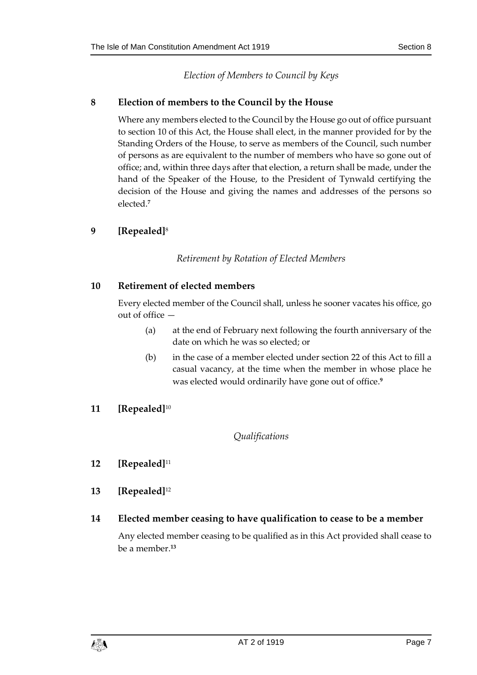*Election of Members to Council by Keys*

#### <span id="page-6-1"></span><span id="page-6-0"></span>**8 Election of members to the Council by the House**

Where any members elected to the Council by the House go out of office pursuant to section 10 of this Act, the House shall elect, in the manner provided for by the Standing Orders of the House, to serve as members of the Council, such number of persons as are equivalent to the number of members who have so gone out of office; and, within three days after that election, a return shall be made, under the hand of the Speaker of the House, to the President of Tynwald certifying the decision of the House and giving the names and addresses of the persons so elected.**<sup>7</sup>**

#### <span id="page-6-3"></span><span id="page-6-2"></span>**9 [Repealed]**<sup>8</sup>

#### *Retirement by Rotation of Elected Members*

#### <span id="page-6-4"></span>**10 Retirement of elected members**

Every elected member of the Council shall, unless he sooner vacates his office, go out of office —

- (a) at the end of February next following the fourth anniversary of the date on which he was so elected; or
- (b) in the case of a member elected under section 22 of this Act to fill a casual vacancy, at the time when the member in whose place he was elected would ordinarily have gone out of office.**<sup>9</sup>**

#### <span id="page-6-6"></span><span id="page-6-5"></span>**11 [Repealed]**<sup>10</sup>

#### *Qualifications*

- <span id="page-6-7"></span>**12 [Repealed]**<sup>11</sup>
- <span id="page-6-8"></span>**13 [Repealed]**<sup>12</sup>

#### <span id="page-6-9"></span>**14 Elected member ceasing to have qualification to cease to be a member**

Any elected member ceasing to be qualified as in this Act provided shall cease to be a member.**13**

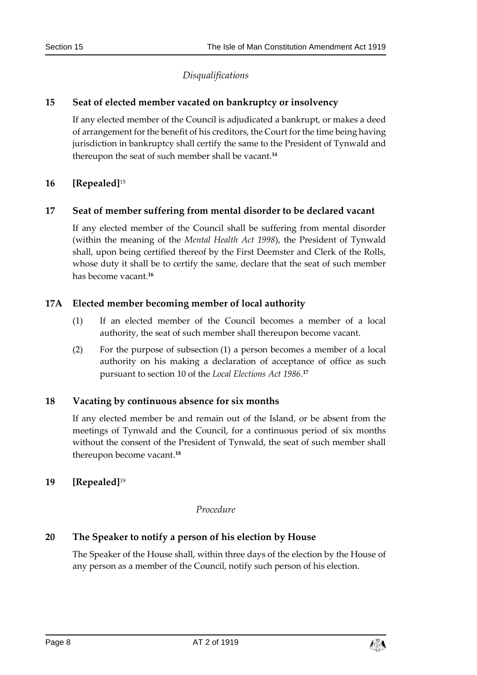#### *Disqualifications*

#### <span id="page-7-1"></span><span id="page-7-0"></span>**15 Seat of elected member vacated on bankruptcy or insolvency**

If any elected member of the Council is adjudicated a bankrupt, or makes a deed of arrangement for the benefit of his creditors, the Court for the time being having jurisdiction in bankruptcy shall certify the same to the President of Tynwald and thereupon the seat of such member shall be vacant.**<sup>14</sup>**

#### <span id="page-7-2"></span>**16 [Repealed]**<sup>15</sup>

#### <span id="page-7-3"></span>**17 Seat of member suffering from mental disorder to be declared vacant**

If any elected member of the Council shall be suffering from mental disorder (within the meaning of the *Mental Health Act 1998*), the President of Tynwald shall, upon being certified thereof by the First Deemster and Clerk of the Rolls, whose duty it shall be to certify the same, declare that the seat of such member has become vacant.**<sup>16</sup>**

#### <span id="page-7-4"></span>**17A Elected member becoming member of local authority**

- (1) If an elected member of the Council becomes a member of a local authority, the seat of such member shall thereupon become vacant.
- (2) For the purpose of subsection (1) a person becomes a member of a local authority on his making a declaration of acceptance of office as such pursuant to section 10 of the *Local Elections Act 1986*. **17**

#### <span id="page-7-5"></span>**18 Vacating by continuous absence for six months**

If any elected member be and remain out of the Island, or be absent from the meetings of Tynwald and the Council, for a continuous period of six months without the consent of the President of Tynwald, the seat of such member shall thereupon become vacant.**<sup>18</sup>**

#### <span id="page-7-7"></span><span id="page-7-6"></span>**19 [Repealed]**<sup>19</sup>

#### *Procedure*

#### <span id="page-7-8"></span>**20 The Speaker to notify a person of his election by House**

The Speaker of the House shall, within three days of the election by the House of any person as a member of the Council, notify such person of his election.

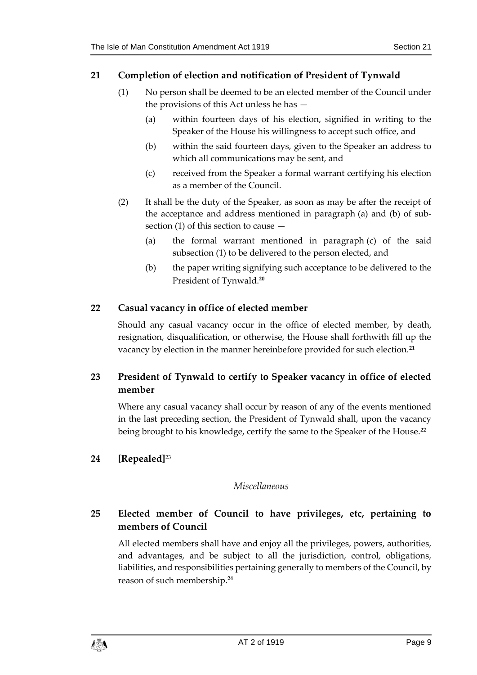#### <span id="page-8-0"></span>**21 Completion of election and notification of President of Tynwald**

- (1) No person shall be deemed to be an elected member of the Council under the provisions of this Act unless he has —
	- (a) within fourteen days of his election, signified in writing to the Speaker of the House his willingness to accept such office, and
	- (b) within the said fourteen days, given to the Speaker an address to which all communications may be sent, and
	- (c) received from the Speaker a formal warrant certifying his election as a member of the Council.
- (2) It shall be the duty of the Speaker, as soon as may be after the receipt of the acceptance and address mentioned in paragraph (a) and (b) of subsection (1) of this section to cause —
	- (a) the formal warrant mentioned in paragraph (c) of the said subsection (1) to be delivered to the person elected, and
	- (b) the paper writing signifying such acceptance to be delivered to the President of Tynwald.**<sup>20</sup>**

#### <span id="page-8-1"></span>**22 Casual vacancy in office of elected member**

Should any casual vacancy occur in the office of elected member, by death, resignation, disqualification, or otherwise, the House shall forthwith fill up the vacancy by election in the manner hereinbefore provided for such election.**<sup>21</sup>**

#### <span id="page-8-2"></span>**23 President of Tynwald to certify to Speaker vacancy in office of elected member**

Where any casual vacancy shall occur by reason of any of the events mentioned in the last preceding section, the President of Tynwald shall, upon the vacancy being brought to his knowledge, certify the same to the Speaker of the House.**<sup>22</sup>**

#### <span id="page-8-4"></span><span id="page-8-3"></span>**24 [Repealed]**<sup>23</sup>

#### *Miscellaneous*

#### <span id="page-8-5"></span>**25 Elected member of Council to have privileges, etc, pertaining to members of Council**

All elected members shall have and enjoy all the privileges, powers, authorities, and advantages, and be subject to all the jurisdiction, control, obligations, liabilities, and responsibilities pertaining generally to members of the Council, by reason of such membership.**24**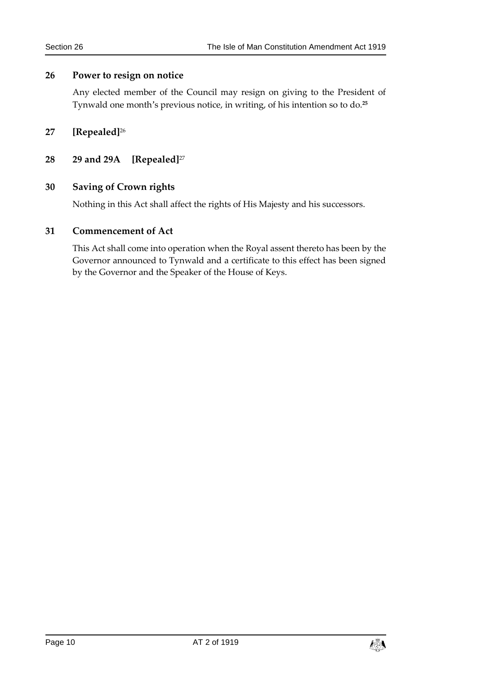#### <span id="page-9-0"></span>**26 Power to resign on notice**

Any elected member of the Council may resign on giving to the President of Tynwald one month's previous notice, in writing, of his intention so to do.**<sup>25</sup>**

#### <span id="page-9-1"></span>**27 [Repealed]**<sup>26</sup>

#### <span id="page-9-2"></span>**28 29 and 29A [Repealed]**<sup>27</sup>

#### <span id="page-9-3"></span>**30 Saving of Crown rights**

Nothing in this Act shall affect the rights of His Majesty and his successors.

#### <span id="page-9-4"></span>**31 Commencement of Act**

This Act shall come into operation when the Royal assent thereto has been by the Governor announced to Tynwald and a certificate to this effect has been signed by the Governor and the Speaker of the House of Keys.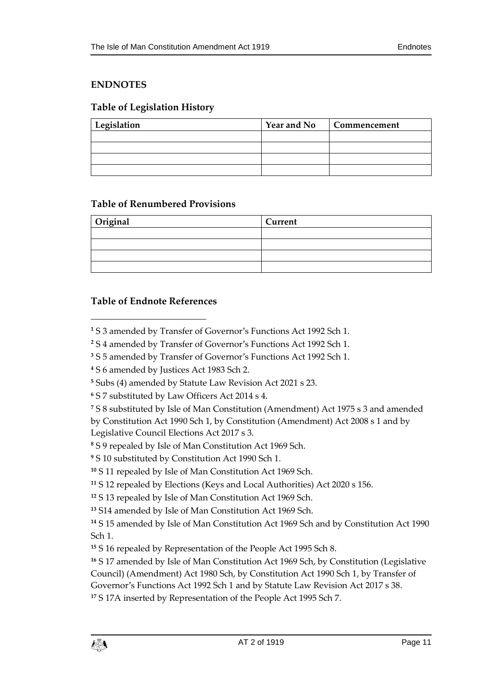#### <span id="page-10-0"></span>**ENDNOTES**

#### <span id="page-10-1"></span>**Table of Legislation History**

| Legislation | <b>Year and No</b> | Commencement |
|-------------|--------------------|--------------|
|             |                    |              |
|             |                    |              |
|             |                    |              |
|             |                    |              |

#### <span id="page-10-2"></span>**Table of Renumbered Provisions**

| <b>Original</b> | Current |  |
|-----------------|---------|--|
|                 |         |  |
|                 |         |  |
|                 |         |  |
|                 |         |  |

#### <span id="page-10-3"></span>**Table of Endnote References**

 $\overline{a}$ 

**<sup>1</sup>** S 3 amended by Transfer of Governor's Functions Act 1992 Sch 1.

- **<sup>3</sup>** S 5 amended by Transfer of Governor's Functions Act 1992 Sch 1.
- **<sup>4</sup>** S 6 amended by Justices Act 1983 Sch 2.

**<sup>5</sup>** Subs (4) amended by Statute Law Revision Act 2021 s 23.

**<sup>6</sup>** S 7 substituted by Law Officers Act 2014 s 4.

**<sup>7</sup>** S 8 substituted by Isle of Man Constitution (Amendment) Act 1975 s 3 and amended by Constitution Act 1990 Sch 1, by Constitution (Amendment) Act 2008 s 1 and by Legislative Council Elections Act 2017 s 3.

**<sup>8</sup>** S 9 repealed by Isle of Man Constitution Act 1969 Sch.

**<sup>9</sup>** S 10 substituted by Constitution Act 1990 Sch 1.

**<sup>10</sup>** S 11 repealed by Isle of Man Constitution Act 1969 Sch.

**<sup>11</sup>** S 12 repealed by Elections (Keys and Local Authorities) Act 2020 s 156.

**<sup>12</sup>** S 13 repealed by Isle of Man Constitution Act 1969 Sch.

**<sup>13</sup>** S14 amended by Isle of Man Constitution Act 1969 Sch.

**<sup>14</sup>** S 15 amended by Isle of Man Constitution Act 1969 Sch and by Constitution Act 1990 Sch 1.

**<sup>15</sup>** S 16 repealed by Representation of the People Act 1995 Sch 8.

**<sup>16</sup>** S 17 amended by Isle of Man Constitution Act 1969 Sch, by Constitution (Legislative Council) (Amendment) Act 1980 Sch, by Constitution Act 1990 Sch 1, by Transfer of Governor's Functions Act 1992 Sch 1 and by Statute Law Revision Act 2017 s 38.

**<sup>17</sup>** S 17A inserted by Representation of the People Act 1995 Sch 7.



**<sup>2</sup>** S 4 amended by Transfer of Governor's Functions Act 1992 Sch 1.